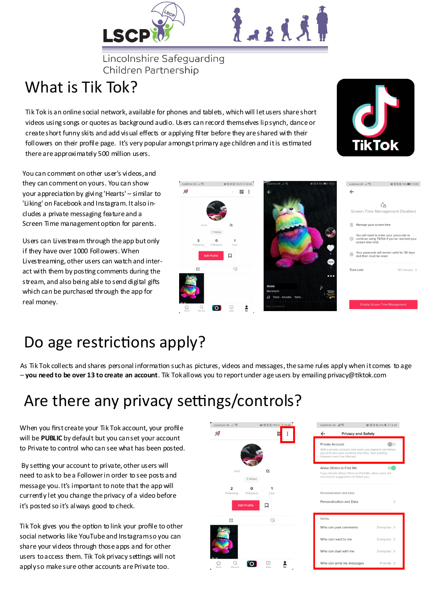



Lincolnshire Safeguarding Children Partnership

#### What is Tik Tok?

Tik Tok is an online social network, available for phones and tablets, which will let users share short videos using songs or quotes as background audio. Users can record themselves lip synch, dance or create short funny skits and add visual effects or applying filter before they are shared with their followers on their profile page. It's very popular amongst primary age children and it is estimated there are approximately 500 million users.



You can comment on other user's videos, and they can comment on yours. You can show your appreciation by giving 'Hearts' – similar to 'Liking' on Facebook and Instagram. It also includes a private messaging feature and a Screen Time management option for parents.

Users can Livestream through the app but only if they have over 1000 Followers. When Livestreaming, other users can watch and interact with them by posting comments during the stream, and also being able to send digital gifts which can be purchased through the app for real money.



#### Do age restrictions apply?

As Tik Tok collects and shares personal information such as pictures, videos and messages, the same rules apply when it comes to age – **you need to be over 13 to create an account**. Tik Tok allows you to report under age users by emailing privacy@tiktok.com

## Are there any privacy settings/controls?

When you first create your Tik Tok account, your profile will be **PUBLIC** by default but you can set your account to Private to control who can see what has been posted.

By setting your account to private, other users will need to ask to be a Follower in order to see posts and message you. It's important to note that the app will currently let you change the privacy of a video before it's posted so it's always good to check.

Tik Tok gives you the option to link your profile to other social networks like YouTube and Instagram so you can share your videos through those apps and for other users to access them. Tik Tok privacy settings will not apply so make sure other accounts are Private too.